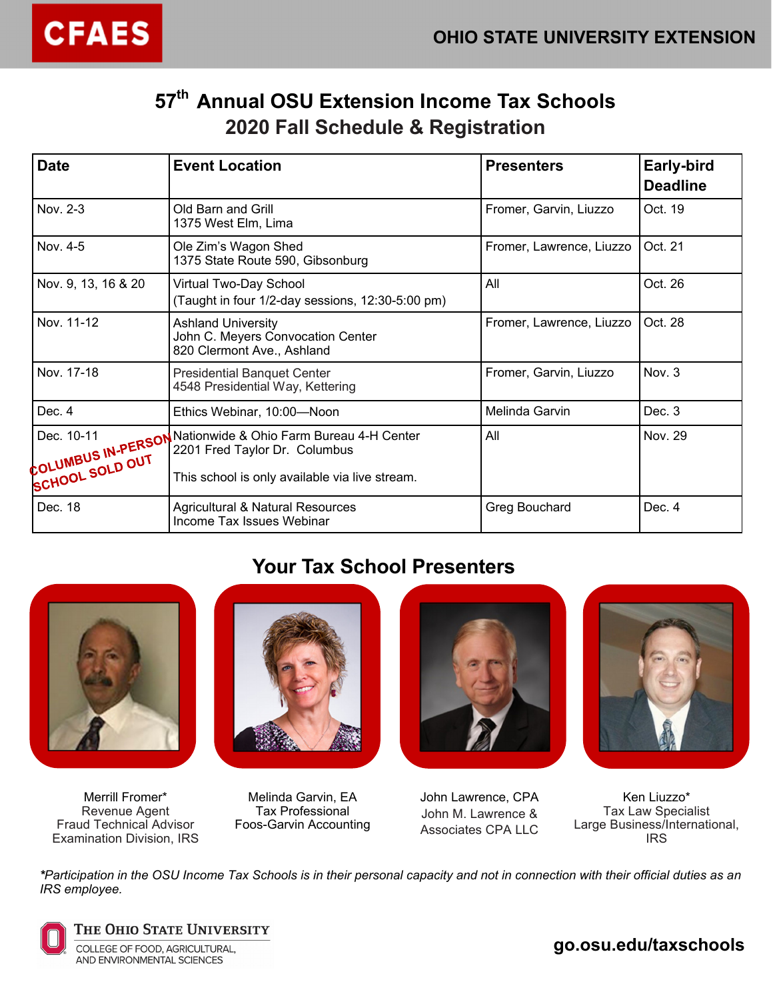

# **57th nnual OSU Extension Income Tax Schools 2020 Fall Schedule & Registration**

| <b>Date</b>                                                       | <b>Event Location</b><br><b>Presenters</b>                                                                                  |                        | Early-bird<br><b>Deadline</b> |
|-------------------------------------------------------------------|-----------------------------------------------------------------------------------------------------------------------------|------------------------|-------------------------------|
| Nov. 2-3                                                          | Old Barn and Grill<br>1375 West Elm, Lima                                                                                   | Fromer, Garvin, Liuzzo | Oct. 19                       |
| Nov. 4-5                                                          | Ole Zim's Wagon Shed<br>Fromer, Lawrence, Liuzzo<br>1375 State Route 590, Gibsonburg                                        |                        | Oct. 21                       |
| Nov. 9, 13, 16 & 20                                               | Virtual Two-Day School<br>(Taught in four 1/2-day sessions, 12:30-5:00 pm)                                                  | All                    | Oct. 26                       |
| Nov. 11-12                                                        | <b>Ashland University</b><br>Fromer, Lawrence, Liuzzo<br>John C. Meyers Convocation Center<br>820 Clermont Ave., Ashland    |                        | Oct. 28                       |
| Nov. 17-18                                                        | <b>Presidential Banquet Center</b><br>4548 Presidential Way, Kettering                                                      | Fromer, Garvin, Liuzzo | Nov. 3                        |
| Dec. 4                                                            | Ethics Webinar, 10:00-Noon                                                                                                  | Melinda Garvin         | Dec. 3                        |
| Dec. 10-11<br><b>COLUMBUS IN-PERSON</b><br><b>SCHOOL SOLD OUT</b> | Nationwide & Ohio Farm Bureau 4-H Center<br>2201 Fred Taylor Dr. Columbus<br>This school is only available via live stream. | All                    | Nov. 29                       |
| Dec. 18                                                           | <b>Agricultural &amp; Natural Resources</b><br>Income Tax Issues Webinar                                                    | Greg Bouchard          | Dec. 4                        |

# **Your Tax School Presenters**



Merrill Fromer\* Revenue Agent Fraud Technical Advisor Examination Division, IRS



Melinda Garvin, EA Tax Professional Foos-Garvin Accounting





John Lawrence, CPA John M. Lawrence & Associates CPA LLC

Ken Liuzzo\* Tax Law Specialist Large Business/International, IRS

*\*Participation in the OSU Income Tax Schools is in their personal capacity and not in connection with their official duties as an IRS employee.* 



THE OHIO STATE UNIVERSITY COLLEGE OF FOOD, AGRICULTURAL, AND ENVIRONMENTAL SCIENCES

**go.osu.edu/taxschools**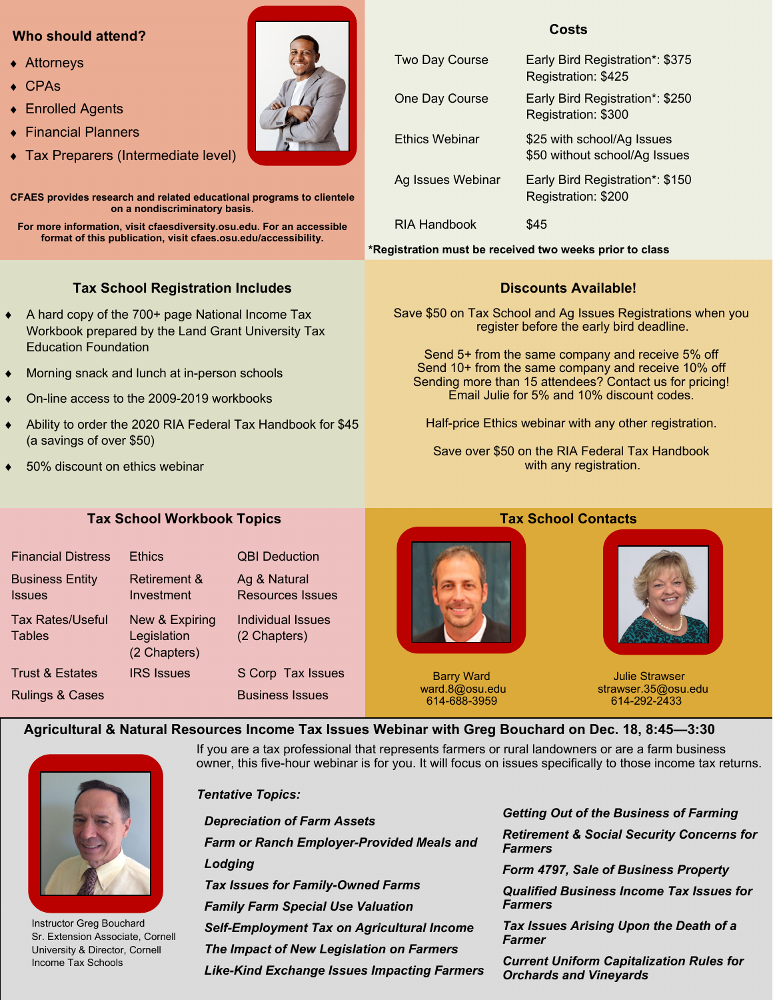#### **Who should attend?**

- ◆ Attorneys
- CPAs
- Enrolled Agents
- Financial Planners
- Tax Preparers (Intermediate level)

**CFAES provides research and related educational programs to clientele on a nondiscriminatory basis.** 

**For more information, visit cfaesdiversity.osu.edu. For an accessible format of this publication, visit cfaes.osu.edu/accessibility.** 

### **Tax School Registration Includes**

- ◆ A hard copy of the 700+ page National Income Tax Workbook prepared by the Land Grant University Tax Education Foundation
- Morning snack and lunch at in-person schools
- On-line access to the 2009-2019 workbooks
- Ability to order the 2020 RIA Federal Tax Handbook for \$45 (a savings of over \$50)
- 50% discount on ethics webinar

# **Costs**  Two Day Course Early Bird Registration\*: \$375 Registration: \$425 One Day Course Early Bird Registration\*: \$250 Registration: \$300 Ethics Webinar \$25 with school/Ag Issues \$50 without school/Ag Issues

Ag Issues Webinar Early Bird Registration\*: \$150 Registration: \$200

RIA Handbook \$45

**\*Registration must be received two weeks prior to class** 

#### **Discounts Available!**

Save \$50 on Tax School and Ag Issues Registrations when you register before the early bird deadline.

Send 5+ from the same company and receive 5% off Send 10+ from the same company and receive 10% off Sending more than 15 attendees? Contact us for pricing! Email Julie for 5% and 10% discount codes.

Half-price Ethics webinar with any other registration.

Save over \$50 on the RIA Federal Tax Handbook with any registration.

#### **Tax School Workbook Topics Tax School Contacts**

| <b>Financial Distress</b>               | <b>Ethics</b>                                 | <b>QBI Deduction</b>                    |  |
|-----------------------------------------|-----------------------------------------------|-----------------------------------------|--|
| <b>Business Entity</b><br><b>Issues</b> | <b>Retirement &amp;</b><br>Investment         | Ag & Natural<br><b>Resources Issues</b> |  |
| Tax Rates/Useful<br><b>Tables</b>       | New & Expiring<br>Legislation<br>(2 Chapters) | Individual Issues<br>(2 Chapters)       |  |
| Trust & Estates                         | <b>IRS</b> Issues                             | S Corp Tax Issues                       |  |
| <b>Rulings &amp; Cases</b>              |                                               | <b>Business Issues</b>                  |  |



614-688-3959

Barry Ward **Barry Ward Julie Strawser** ward.8@osu.edu strawser.35@osu.edu

 **Agricultural & Natural Resources Income Tax Issues Webinar with Greg Bouchard on Dec. 18, 8:45—3:30** 



Instructor Greg Bouchard Sr. Extension Associate, Cornell University & Director, Cornell Income Tax Schools

If you are a tax professional that represents farmers or rural landowners or are a farm business owner, this five-hour webinar is for you. It will focus on issues specifically to those income tax returns.

*Tentative Topics: Depreciation of Farm Assets Farm or Ranch Employer-Provided Meals and Lodging Tax Issues for Family-Owned Farms Family Farm Special Use Valuation Self-Employment Tax on Agricultural Income The Impact of New Legislation on Farmers Like-Kind Exchange Issues Impacting Farmers* 

*Getting Out of the Business of Farming Retirement & Social Security Concerns for Farmers* 

*Form 4797, Sale of Business Property* 

*Qualified Business Income Tax Issues for Farmers* 

*Tax Issues Arising Upon the Death of a Farmer* 

*Current Uniform Capitalization Rules for Orchards and Vineyards* 

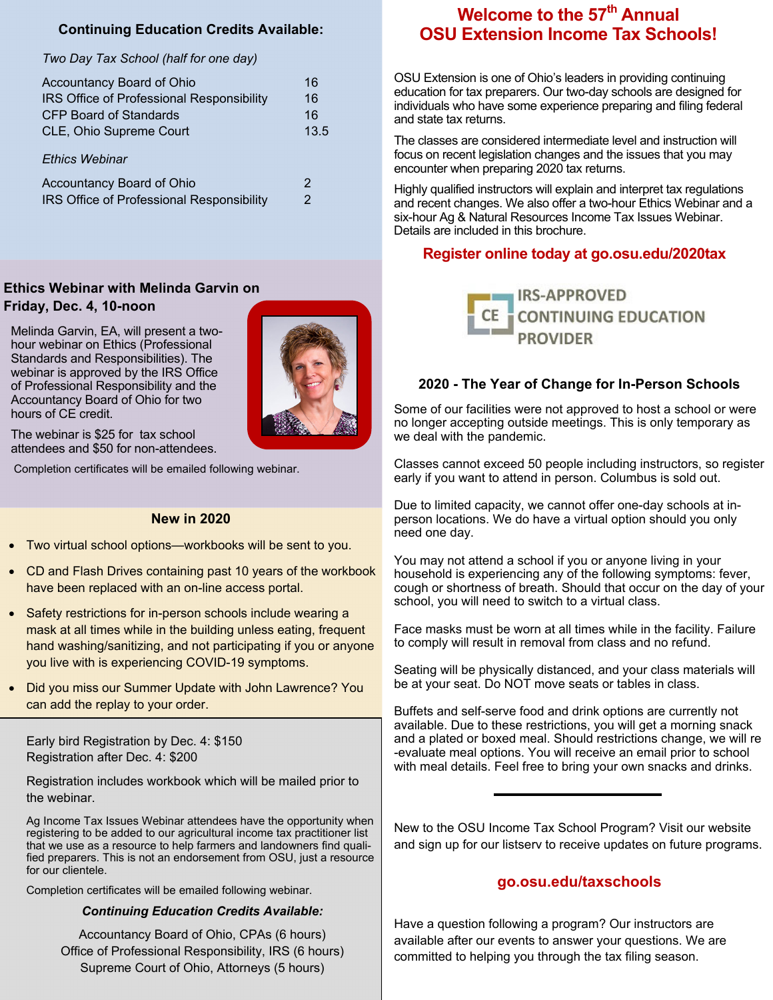### **Continuing Education Credits Available:**

#### *Two Day Tax School (half for one day)*

| Accountancy Board of Ohio                 | 16   |
|-------------------------------------------|------|
| IRS Office of Professional Responsibility | 16   |
| CFP Board of Standards                    | 16   |
| CLE, Ohio Supreme Court                   | 13.5 |
|                                           |      |
| <b>Ethics Webinar</b>                     |      |
| Accountancy Board of Ohio                 | 2    |
| IRS Office of Professional Responsibility | 2    |

### **Ethics Webinar with Melinda Garvin on Friday, Dec. 4, 10-noon**

Melinda Garvin, EA, will present a twohour webinar on Ethics (Professional Standards and Responsibilities). The webinar is approved by the IRS Office of Professional Responsibility and the Accountancy Board of Ohio for two hours of CE credit.



The webinar is \$25 for tax school attendees and \$50 for non-attendees.

Completion certificates will be emailed following webinar.

#### **New in 2020**

- Two virtual school options—workbooks will be sent to you.
- CD and Flash Drives containing past 10 years of the workbook have been replaced with an on-line access portal.
- Safety restrictions for in-person schools include wearing a mask at all times while in the building unless eating, frequent hand washing/sanitizing, and not participating if you or anyone you live with is experiencing COVID-19 symptoms.
- Did you miss our Summer Update with John Lawrence? You can add the replay to your order.

Early bird Registration by Dec. 4: \$150 Registration after Dec. 4: \$200

Registration includes workbook which will be mailed prior to the webinar.

Ag Income Tax Issues Webinar attendees have the opportunity when registering to be added to our agricultural income tax practitioner list that we use as a resource to help farmers and landowners find qualified preparers. This is not an endorsement from OSU, just a resource for our clientele.

Completion certificates will be emailed following webinar.

#### *Continuing Education Credits Available:*

Accountancy Board of Ohio, CPAs (6 hours) Office of Professional Responsibility, IRS (6 hours) Supreme Court of Ohio, Attorneys (5 hours)

# **Welcome to the 57<sup>th</sup> Annual OSU Extension Income Tax Schools!**

OSU Extension is one of Ohio's leaders in providing continuing education for tax preparers. Our two-day schools are designed for individuals who have some experience preparing and filing federal and state tax returns.

The classes are considered intermediate level and instruction will focus on recent legislation changes and the issues that you may encounter when preparing 2020 tax returns.

Highly qualified instructors will explain and interpret tax regulations and recent changes. We also offer a two-hour Ethics Webinar and a six-hour Ag & Natural Resources Income Tax Issues Webinar. Details are included in this brochure.

#### **Register online today at go.osu.edu/2020tax**



#### **2020 - The Year of Change for In-Person Schools**

Some of our facilities were not approved to host a school or were no longer accepting outside meetings. This is only temporary as we deal with the pandemic.

Classes cannot exceed 50 people including instructors, so register early if you want to attend in person. Columbus is sold out.

Due to limited capacity, we cannot offer one-day schools at inperson locations. We do have a virtual option should you only need one day.

You may not attend a school if you or anyone living in your household is experiencing any of the following symptoms: fever, cough or shortness of breath. Should that occur on the day of your school, you will need to switch to a virtual class.

Face masks must be worn at all times while in the facility. Failure to comply will result in removal from class and no refund.

Seating will be physically distanced, and your class materials will be at your seat. Do NOT move seats or tables in class.

Buffets and self-serve food and drink options are currently not available. Due to these restrictions, you will get a morning snack and a plated or boxed meal. Should restrictions change, we will re -evaluate meal options. You will receive an email prior to school with meal details. Feel free to bring your own snacks and drinks.

New to the OSU Income Tax School Program? Visit our website and sign up for our listserv to receive updates on future programs.

#### **go.osu.edu/taxschools**

Have a question following a program? Our instructors are available after our events to answer your questions. We are committed to helping you through the tax filing season.